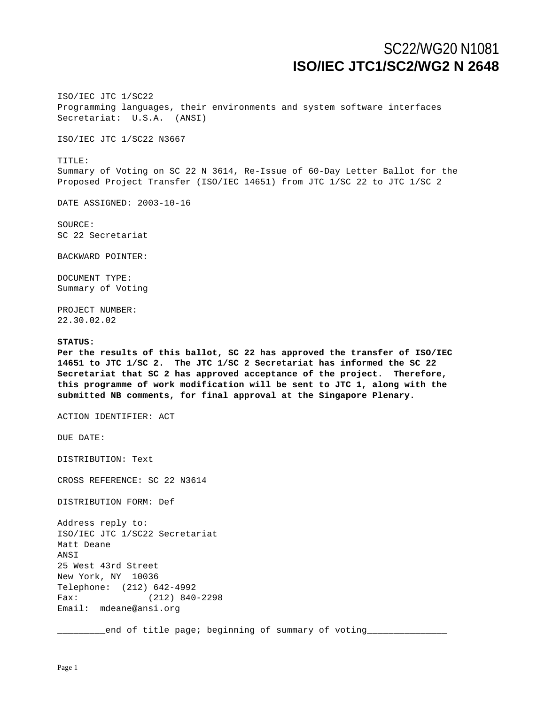# SC22/WG20 N1081 **ISO/IEC JTC1/SC2/WG2 N 2648**

ISO/IEC JTC 1/SC22 Programming languages, their environments and system software interfaces Secretariat: U.S.A. (ANSI)

ISO/IEC JTC 1/SC22 N3667

TITLE: Summary of Voting on SC 22 N 3614, Re-Issue of 60-Day Letter Ballot for the Proposed Project Transfer (ISO/IEC 14651) from JTC 1/SC 22 to JTC 1/SC 2

DATE ASSIGNED: 2003-10-16

SOURCE: SC 22 Secretariat

BACKWARD POINTER:

DOCUMENT TYPE: Summary of Voting

PROJECT NUMBER: 22.30.02.02

## **STATUS:**

**Per the results of this ballot, SC 22 has approved the transfer of ISO/IEC 14651 to JTC 1/SC 2. The JTC 1/SC 2 Secretariat has informed the SC 22 Secretariat that SC 2 has approved acceptance of the project. Therefore, this programme of work modification will be sent to JTC 1, along with the submitted NB comments, for final approval at the Singapore Plenary.**

ACTION IDENTIFIER: ACT

DUE DATE:

DISTRIBUTION: Text

CROSS REFERENCE: SC 22 N3614

DISTRIBUTION FORM: Def

Address reply to: ISO/IEC JTC 1/SC22 Secretariat Matt Deane ANSI 25 West 43rd Street New York, NY 10036 Telephone: (212) 642-4992 Fax: (212) 840-2298 Email: mdeane@ansi.org

\_\_\_\_\_\_\_\_\_end of title page; beginning of summary of voting\_\_\_\_\_\_\_\_\_\_\_\_\_\_\_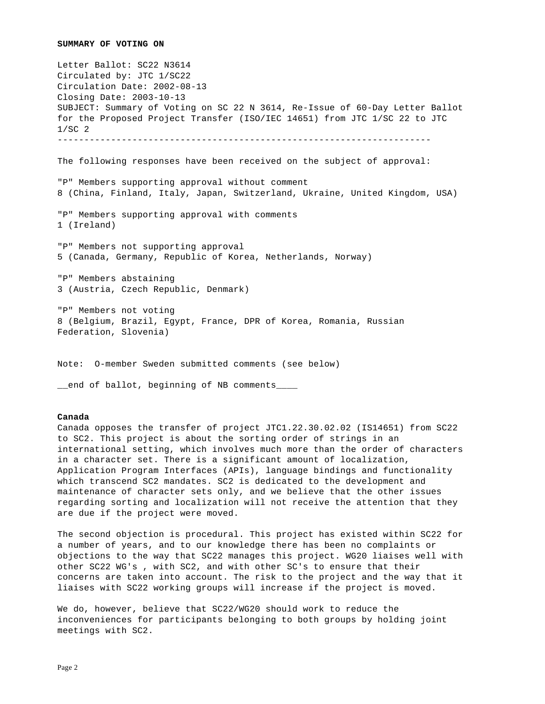#### **SUMMARY OF VOTING ON**

Letter Ballot: SC22 N3614 Circulated by: JTC 1/SC22 Circulation Date: 2002-08-13 Closing Date: 2003-10-13 SUBJECT: Summary of Voting on SC 22 N 3614, Re-Issue of 60-Day Letter Ballot for the Proposed Project Transfer (ISO/IEC 14651) from JTC 1/SC 22 to JTC 1/SC 2 ---------------------------------------------------------------------- The following responses have been received on the subject of approval: "P" Members supporting approval without comment 8 (China, Finland, Italy, Japan, Switzerland, Ukraine, United Kingdom, USA) "P" Members supporting approval with comments 1 (Ireland) "P" Members not supporting approval 5 (Canada, Germany, Republic of Korea, Netherlands, Norway) "P" Members abstaining 3 (Austria, Czech Republic, Denmark) "P" Members not voting 8 (Belgium, Brazil, Egypt, France, DPR of Korea, Romania, Russian Federation, Slovenia)

Note: O-member Sweden submitted comments (see below)

\_\_end of ballot, beginning of NB comments\_\_\_\_

## **Canada**

Canada opposes the transfer of project JTC1.22.30.02.02 (IS14651) from SC22 to SC2. This project is about the sorting order of strings in an international setting, which involves much more than the order of characters in a character set. There is a significant amount of localization, Application Program Interfaces (APIs), language bindings and functionality which transcend SC2 mandates. SC2 is dedicated to the development and maintenance of character sets only, and we believe that the other issues regarding sorting and localization will not receive the attention that they are due if the project were moved.

The second objection is procedural. This project has existed within SC22 for a number of years, and to our knowledge there has been no complaints or objections to the way that SC22 manages this project. WG20 liaises well with other SC22 WG's , with SC2, and with other SC's to ensure that their concerns are taken into account. The risk to the project and the way that it liaises with SC22 working groups will increase if the project is moved.

We do, however, believe that SC22/WG20 should work to reduce the inconveniences for participants belonging to both groups by holding joint meetings with SC2.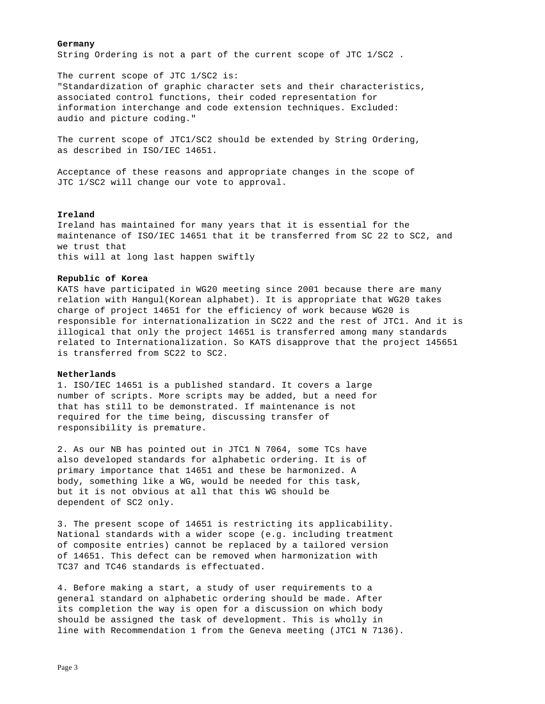## **Germany**

String Ordering is not a part of the current scope of JTC 1/SC2 .

The current scope of JTC 1/SC2 is: "Standardization of graphic character sets and their characteristics, associated control functions, their coded representation for information interchange and code extension techniques. Excluded: audio and picture coding."

The current scope of JTC1/SC2 should be extended by String Ordering, as described in ISO/IEC 14651.

Acceptance of these reasons and appropriate changes in the scope of JTC 1/SC2 will change our vote to approval.

# **Ireland**

Ireland has maintained for many years that it is essential for the maintenance of ISO/IEC 14651 that it be transferred from SC 22 to SC2, and we trust that this will at long last happen swiftly

# **Republic of Korea**

KATS have participated in WG20 meeting since 2001 because there are many relation with Hangul(Korean alphabet). It is appropriate that WG20 takes charge of project 14651 for the efficiency of work because WG20 is responsible for internationalization in SC22 and the rest of JTC1. And it is illogical that only the project 14651 is transferred among many standards related to Internationalization. So KATS disapprove that the project 145651 is transferred from SC22 to SC2.

## **Netherlands**

1. ISO/IEC 14651 is a published standard. It covers a large number of scripts. More scripts may be added, but a need for that has still to be demonstrated. If maintenance is not required for the time being, discussing transfer of responsibility is premature.

2. As our NB has pointed out in JTC1 N 7064, some TCs have also developed standards for alphabetic ordering. It is of primary importance that 14651 and these be harmonized. A body, something like a WG, would be needed for this task, but it is not obvious at all that this WG should be dependent of SC2 only.

3. The present scope of 14651 is restricting its applicability. National standards with a wider scope (e.g. including treatment of composite entries) cannot be replaced by a tailored version of 14651. This defect can be removed when harmonization with TC37 and TC46 standards is effectuated.

4. Before making a start, a study of user requirements to a general standard on alphabetic ordering should be made. After its completion the way is open for a discussion on which body should be assigned the task of development. This is wholly in line with Recommendation 1 from the Geneva meeting (JTC1 N 7136).